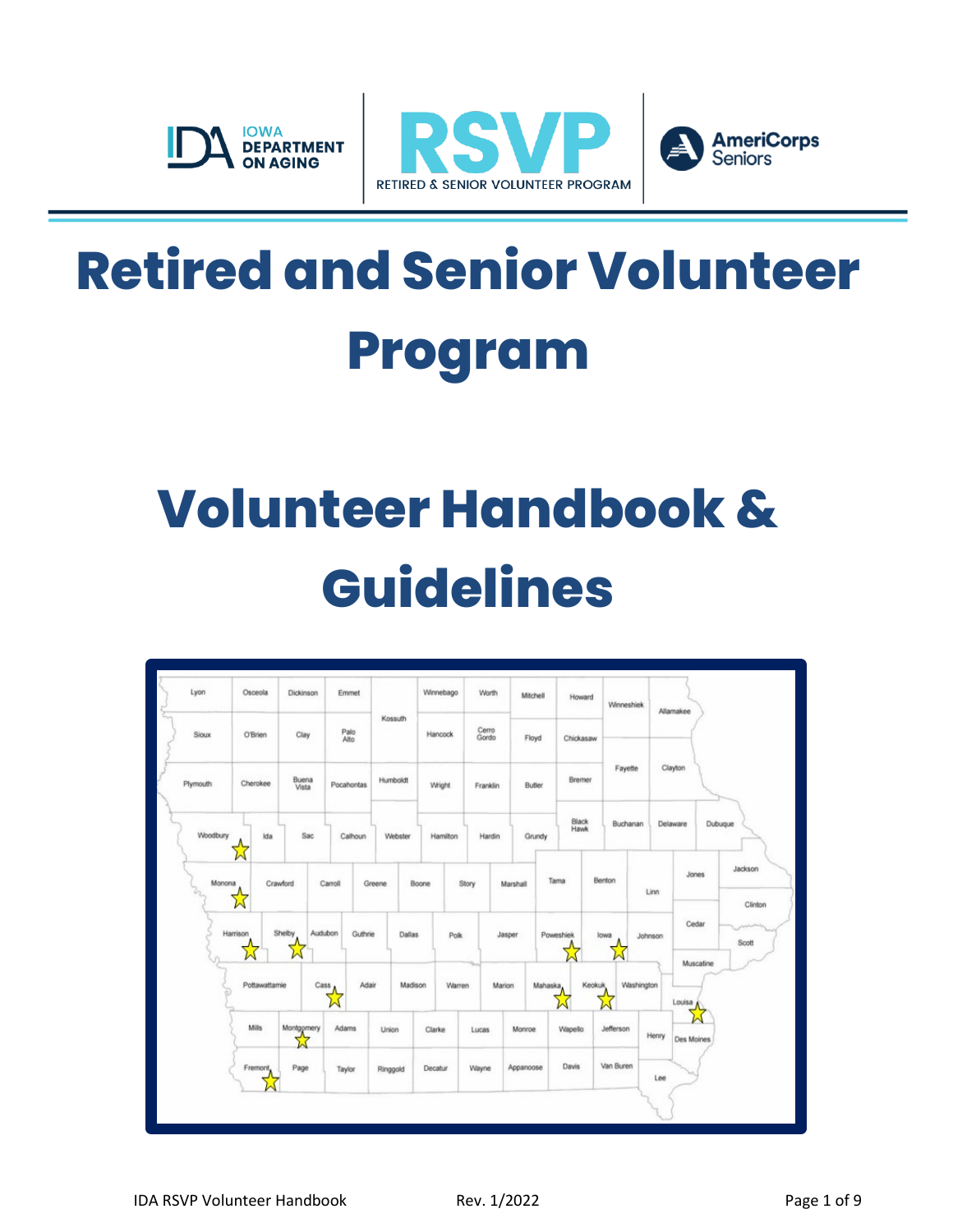





## **Retired and Senior Volunteer Program**

# **Volunteer Handbook & Guidelines**

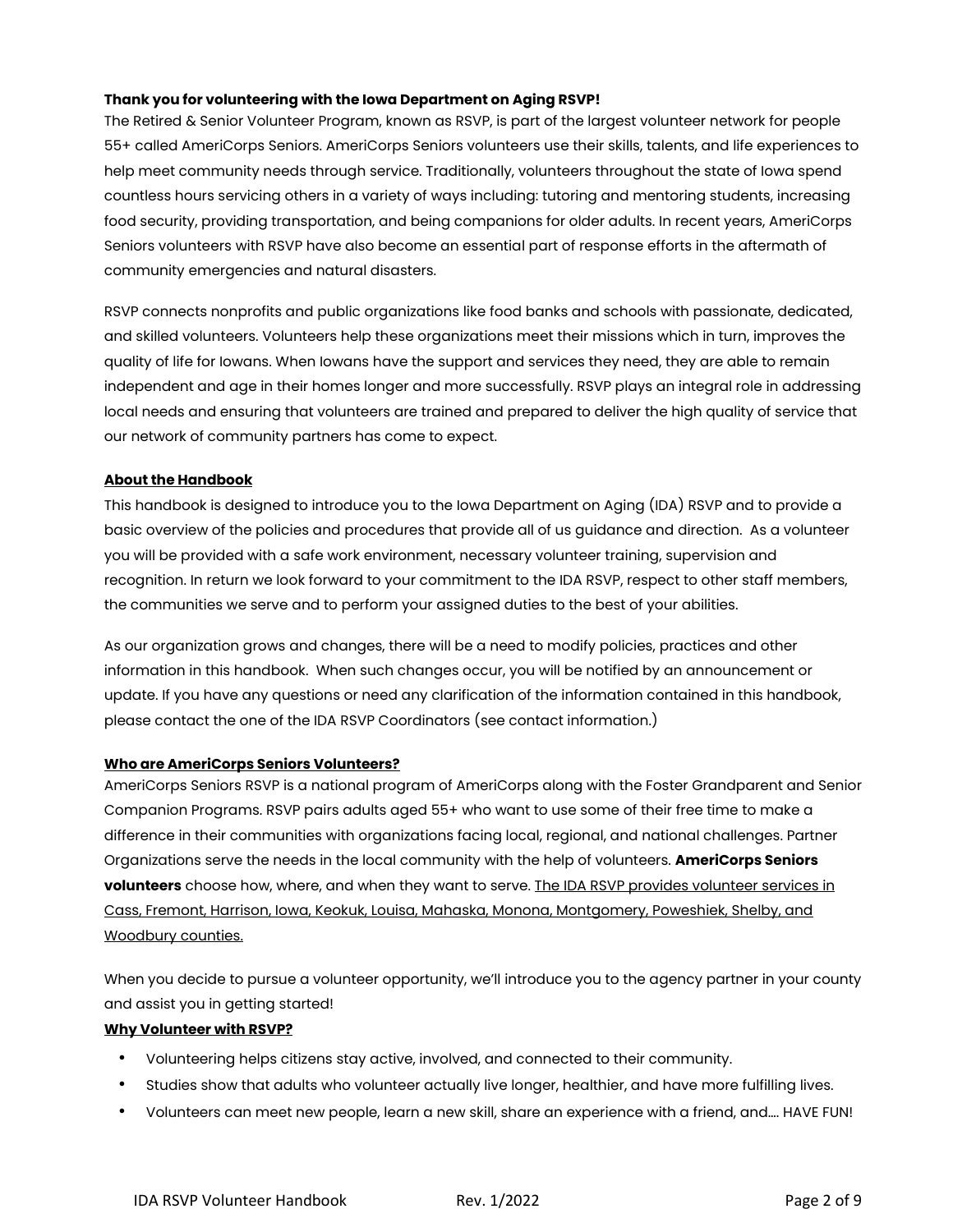## **Thank you for volunteering with the Iowa Department on Aging RSVP!**

The Retired & Senior Volunteer Program, known as RSVP, is part of the largest volunteer network for people 55+ called AmeriCorps Seniors. AmeriCorps Seniors volunteers use their skills, talents, and life experiences to help meet community needs through service. Traditionally, volunteers throughout the state of Iowa spend countless hours servicing others in a variety of ways including: tutoring and mentoring students, increasing food security, providing transportation, and being companions for older adults. In recent years, AmeriCorps Seniors volunteers with RSVP have also become an essential part of response efforts in the aftermath of community emergencies and natural disasters.

RSVP connects nonprofits and public organizations like food banks and schools with passionate, dedicated, and skilled volunteers. Volunteers help these organizations meet their missions which in turn, improves the quality of life for Iowans. When Iowans have the support and services they need, they are able to remain independent and age in their homes longer and more successfully. RSVP plays an integral role in addressing local needs and ensuring that volunteers are trained and prepared to deliver the high quality of service that our network of community partners has come to expect.

## **About the Handbook**

This handbook is designed to introduce you to the Iowa Department on Aging (IDA) RSVP and to provide a basic overview of the policies and procedures that provide all of us guidance and direction. As a volunteer you will be provided with a safe work environment, necessary volunteer training, supervision and recognition. In return we look forward to your commitment to the IDA RSVP, respect to other staff members, the communities we serve and to perform your assigned duties to the best of your abilities.

As our organization grows and changes, there will be a need to modify policies, practices and other information in this handbook. When such changes occur, you will be notified by an announcement or update. If you have any questions or need any clarification of the information contained in this handbook, please contact the one of the IDA RSVP Coordinators (see contact information.)

#### **Who are AmeriCorps Seniors Volunteers?**

AmeriCorps Seniors RSVP is a national program of AmeriCorps along with the Foster Grandparent and Senior Companion Programs. RSVP pairs adults aged 55+ who want to use some of their free time to make a difference in their communities with organizations facing local, regional, and national challenges. Partner Organizations serve the needs in the local community with the help of volunteers. **AmeriCorps Seniors volunteers** choose how, where, and when they want to serve. The IDA RSVP provides volunteer services in Cass, Fremont, Harrison, Iowa, Keokuk, Louisa, Mahaska, Monona, Montgomery, Poweshiek, Shelby, and Woodbury counties.

When you decide to pursue a volunteer opportunity, we'll introduce you to the agency partner in your county and assist you in getting started!

## **Why Volunteer with RSVP?**

- Volunteering helps citizens stay active, involved, and connected to their community.
- Studies show that adults who volunteer actually live longer, healthier, and have more fulfilling lives.
- Volunteers can meet new people, learn a new skill, share an experience with a friend, and…. HAVE FUN!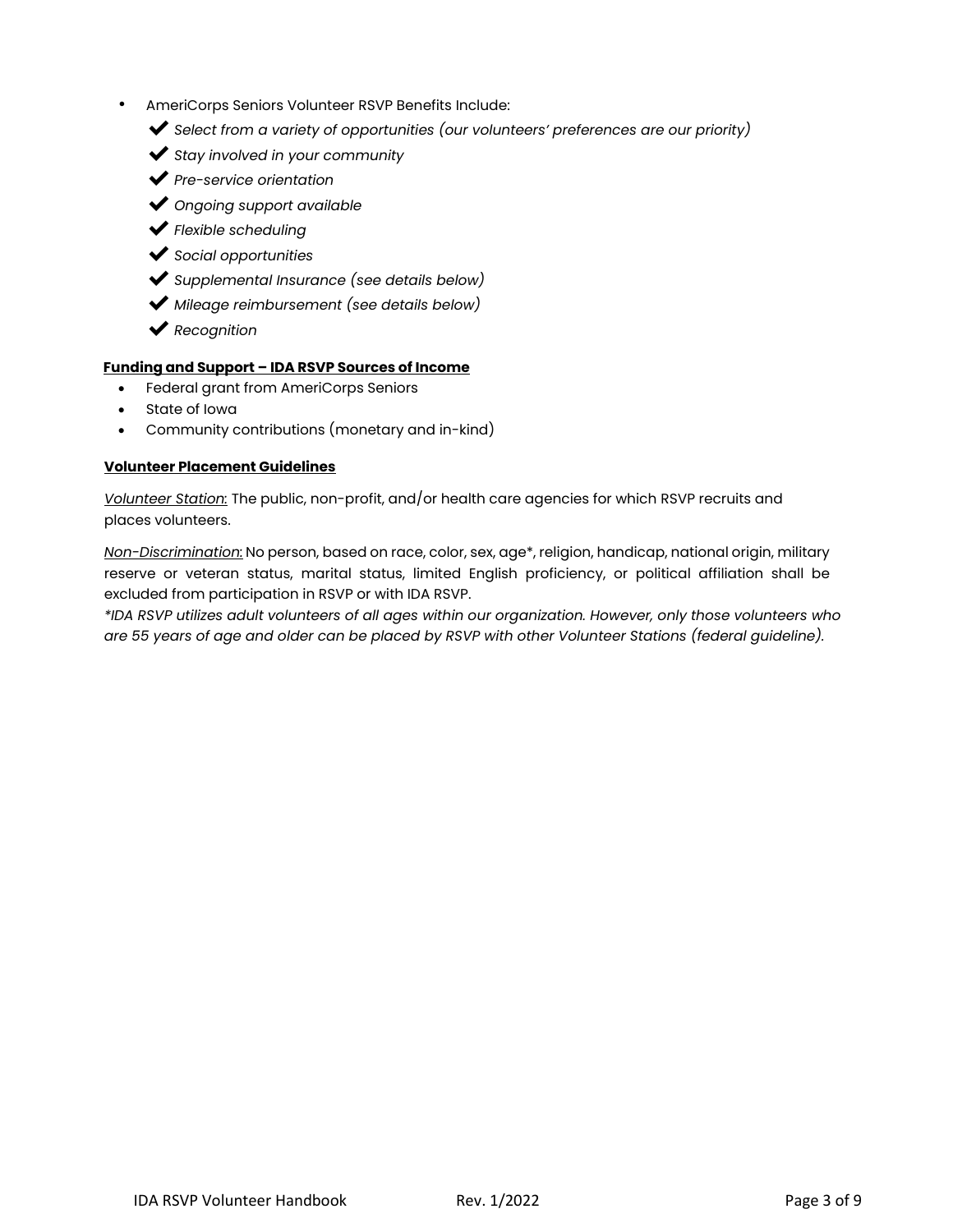- AmeriCorps Seniors Volunteer RSVP Benefits Include:
	- ✔*Select from a variety of opportunities (our volunteers' preferences are our priority)*
	- ✔*Stay involved in your community*
	- ✔*Pre-service orientation*
	- ✔*Ongoing support available*
	- ✔*Flexible scheduling*
	- ✔*Social opportunities*
	- ✔*Supplemental Insurance (see details below)*
	- ✔*Mileage reimbursement (see details below)*
	- ✔*Recognition*

#### **Funding and Support – IDA RSVP Sources of Income**

- Federal grant from AmeriCorps Seniors
- State of Iowa
- Community contributions (monetary and in-kind)

#### **Volunteer Placement Guidelines**

*Volunteer Station:* The public, non-profit, and/or health care agencies for which RSVP recruits and places volunteers.

*Non-Discrimination:* No person, based on race, color, sex, age\*, religion, handicap, national origin, military reserve or veteran status, marital status, limited English proficiency, or political affiliation shall be excluded from participation in RSVP or with IDA RSVP.

*\*IDA RSVP utilizes adult volunteers of all ages within our organization. However, only those volunteers who are 55 years of age and older can be placed by RSVP with other Volunteer Stations (federal guideline).*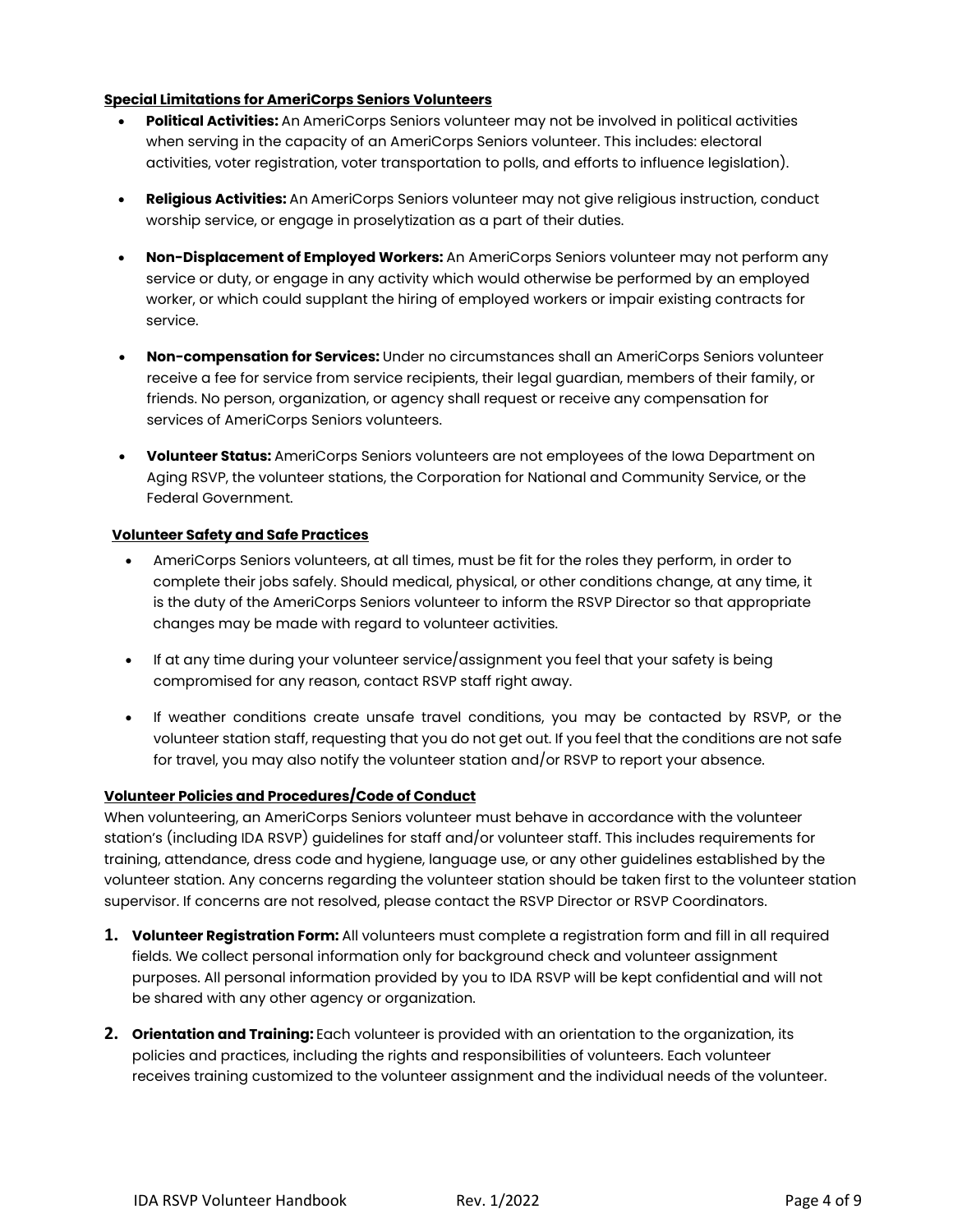## **Special Limitations for AmeriCorps Seniors Volunteers**

- **Political Activities:** An AmeriCorps Seniors volunteer may not be involved in political activities when serving in the capacity of an AmeriCorps Seniors volunteer. This includes: electoral activities, voter registration, voter transportation to polls, and efforts to influence legislation).
- **Religious Activities:** An AmeriCorps Seniors volunteer may not give religious instruction, conduct worship service, or engage in proselytization as a part of their duties.
- **Non-Displacement of Employed Workers:** An AmeriCorps Seniors volunteer may not perform any service or duty, or engage in any activity which would otherwise be performed by an employed worker, or which could supplant the hiring of employed workers or impair existing contracts for service.
- **Non-compensation for Services:** Under no circumstances shall an AmeriCorps Seniors volunteer receive a fee for service from service recipients, their legal guardian, members of their family, or friends. No person, organization, or agency shall request or receive any compensation for services of AmeriCorps Seniors volunteers.
- **Volunteer Status:** AmeriCorps Seniors volunteers are not employees of the Iowa Department on Aging RSVP, the volunteer stations, the Corporation for National and Community Service, or the Federal Government.

#### **Volunteer Safety and Safe Practices**

- AmeriCorps Seniors volunteers, at all times, must be fit for the roles they perform, in order to complete their jobs safely. Should medical, physical, or other conditions change, at any time, it is the duty of the AmeriCorps Seniors volunteer to inform the RSVP Director so that appropriate changes may be made with regard to volunteer activities.
- If at any time during your volunteer service/assignment you feel that your safety is being compromised for any reason, contact RSVP staff right away.
- If weather conditions create unsafe travel conditions, you may be contacted by RSVP, or the volunteer station staff, requesting that you do not get out. If you feel that the conditions are not safe for travel, you may also notify the volunteer station and/or RSVP to report your absence.

## **Volunteer Policies and Procedures/Code of Conduct**

When volunteering, an AmeriCorps Seniors volunteer must behave in accordance with the volunteer station's (including IDA RSVP) guidelines for staff and/or volunteer staff. This includes requirements for training, attendance, dress code and hygiene, language use, or any other guidelines established by the volunteer station. Any concerns regarding the volunteer station should be taken first to the volunteer station supervisor. If concerns are not resolved, please contact the RSVP Director or RSVP Coordinators.

- **1. Volunteer Registration Form:** All volunteers must complete a registration form and fill in all required fields. We collect personal information only for background check and volunteer assignment purposes. All personal information provided by you to IDA RSVP will be kept confidential and will not be shared with any other agency or organization.
- **2. Orientation and Training:** Each volunteer is provided with an orientation to the organization, its policies and practices, including the rights and responsibilities of volunteers. Each volunteer receives training customized to the volunteer assignment and the individual needs of the volunteer.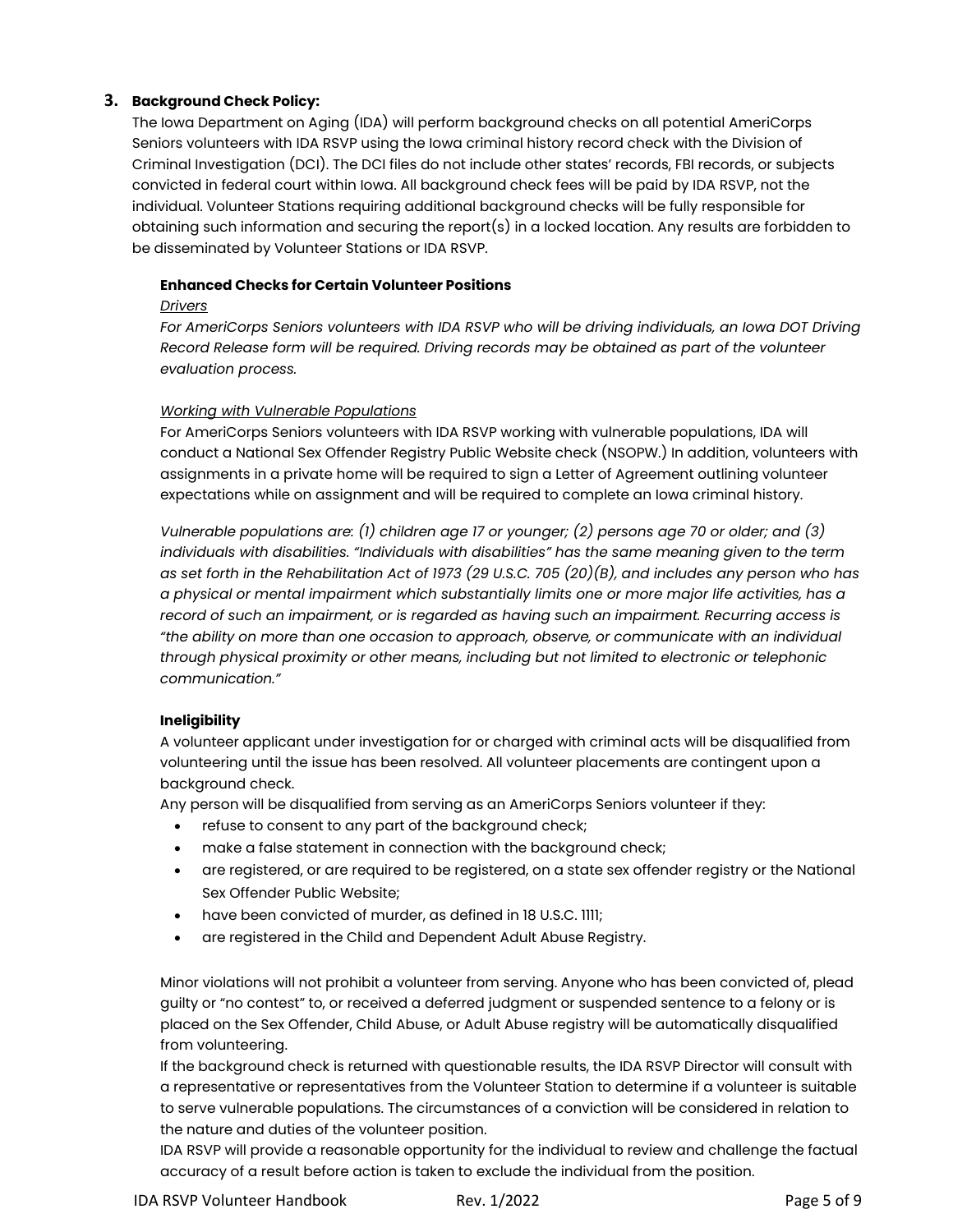## **3. Background Check Policy:**

The Iowa Department on Aging (IDA) will perform background checks on all potential AmeriCorps Seniors volunteers with IDA RSVP using the Iowa criminal history record check with the Division of Criminal Investigation (DCI). The DCI files do not include other states' records, FBI records, or subjects convicted in federal court within Iowa. All background check fees will be paid by IDA RSVP, not the individual. Volunteer Stations requiring additional background checks will be fully responsible for obtaining such information and securing the report(s) in a locked location. Any results are forbidden to be disseminated by Volunteer Stations or IDA RSVP.

## **Enhanced Checks for Certain Volunteer Positions**

## *Drivers*

*For AmeriCorps Seniors volunteers with IDA RSVP who will be driving individuals, an Iowa DOT Driving Record Release form will be required. Driving records may be obtained as part of the volunteer evaluation process.* 

## *Working with Vulnerable Populations*

For AmeriCorps Seniors volunteers with IDA RSVP working with vulnerable populations, IDA will conduct a National Sex Offender Registry Public Website check (NSOPW.) In addition, volunteers with assignments in a private home will be required to sign a Letter of Agreement outlining volunteer expectations while on assignment and will be required to complete an Iowa criminal history.

*Vulnerable populations are: (1) children age 17 or younger; (2) persons age 70 or older; and (3) individuals with disabilities. "Individuals with disabilities" has the same meaning given to the term as set forth in the Rehabilitation Act of 1973 (29 U.S.C. 705 (20)(B), and includes any person who has a physical or mental impairment which substantially limits one or more major life activities, has a record of such an impairment, or is regarded as having such an impairment. Recurring access is "the ability on more than one occasion to approach, observe, or communicate with an individual through physical proximity or other means, including but not limited to electronic or telephonic communication."*

## **Ineligibility**

A volunteer applicant under investigation for or charged with criminal acts will be disqualified from volunteering until the issue has been resolved. All volunteer placements are contingent upon a background check.

Any person will be disqualified from serving as an AmeriCorps Seniors volunteer if they:

- refuse to consent to any part of the background check;
- make a false statement in connection with the background check;
- are registered, or are required to be registered, on a state sex offender registry or the National Sex Offender Public Website;
- have been convicted of murder, as defined in 18 U.S.C. 1111;
- are registered in the Child and Dependent Adult Abuse Registry.

Minor violations will not prohibit a volunteer from serving. Anyone who has been convicted of, plead guilty or "no contest" to, or received a deferred judgment or suspended sentence to a felony or is placed on the Sex Offender, Child Abuse, or Adult Abuse registry will be automatically disqualified from volunteering.

If the background check is returned with questionable results, the IDA RSVP Director will consult with a representative or representatives from the Volunteer Station to determine if a volunteer is suitable to serve vulnerable populations. The circumstances of a conviction will be considered in relation to the nature and duties of the volunteer position.

IDA RSVP will provide a reasonable opportunity for the individual to review and challenge the factual accuracy of a result before action is taken to exclude the individual from the position.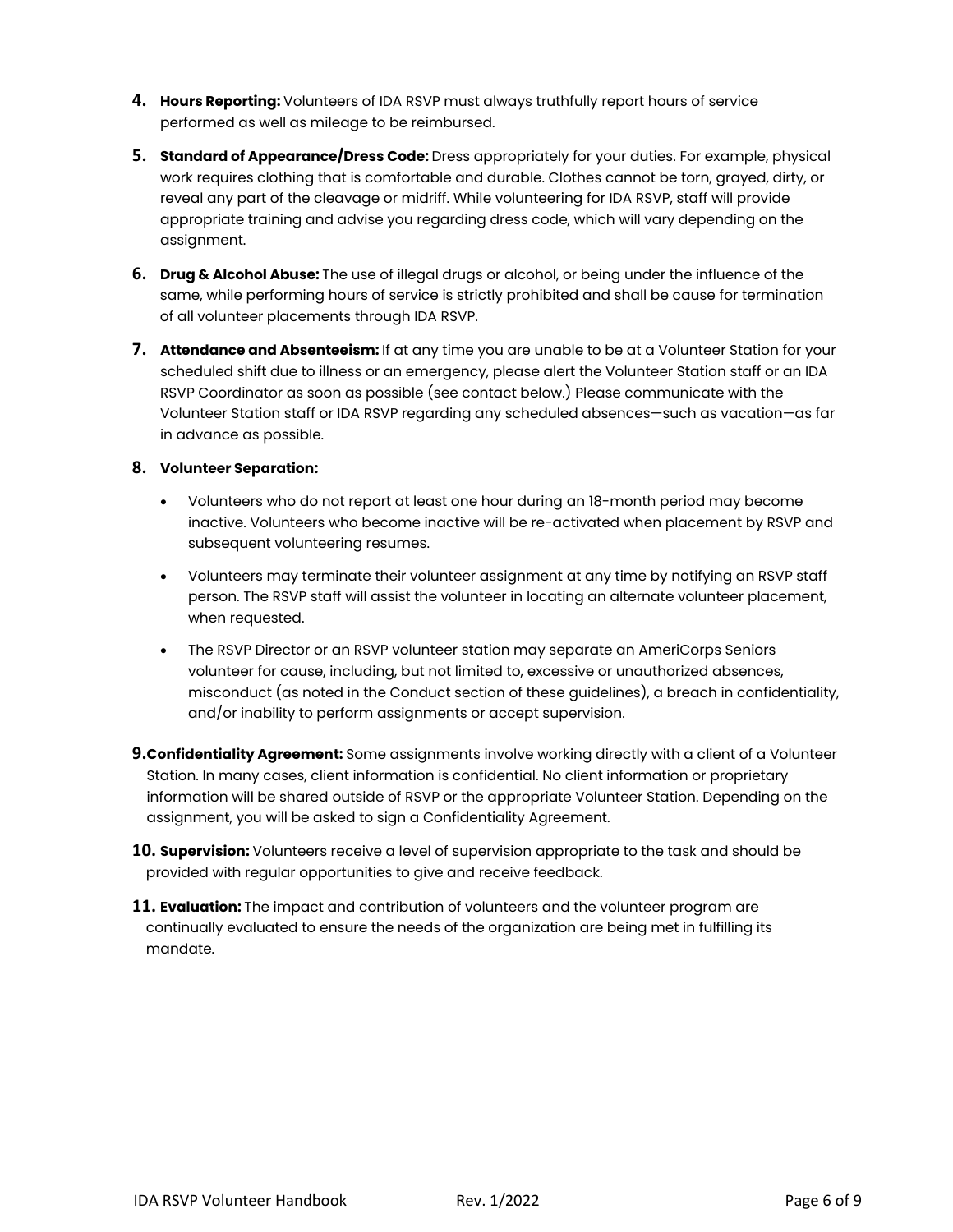- **4. Hours Reporting:** Volunteers of IDA RSVP must always truthfully report hours of service performed as well as mileage to be reimbursed.
- **5. Standard of Appearance/Dress Code:** Dress appropriately for your duties. For example, physical work requires clothing that is comfortable and durable. Clothes cannot be torn, grayed, dirty, or reveal any part of the cleavage or midriff. While volunteering for IDA RSVP, staff will provide appropriate training and advise you regarding dress code, which will vary depending on the assignment.
- **6. Drug & Alcohol Abuse:** The use of illegal drugs or alcohol, or being under the influence of the same, while performing hours of service is strictly prohibited and shall be cause for termination of all volunteer placements through IDA RSVP.
- **7. Attendance and Absenteeism:** If at any time you are unable to be at a Volunteer Station for your scheduled shift due to illness or an emergency, please alert the Volunteer Station staff or an IDA RSVP Coordinator as soon as possible (see contact below.) Please communicate with the Volunteer Station staff or IDA RSVP regarding any scheduled absences—such as vacation—as far in advance as possible.

## **8. Volunteer Separation:**

- Volunteers who do not report at least one hour during an 18-month period may become inactive. Volunteers who become inactive will be re-activated when placement by RSVP and subsequent volunteering resumes.
- Volunteers may terminate their volunteer assignment at any time by notifying an RSVP staff person. The RSVP staff will assist the volunteer in locating an alternate volunteer placement, when requested.
- The RSVP Director or an RSVP volunteer station may separate an AmeriCorps Seniors volunteer for cause, including, but not limited to, excessive or unauthorized absences, misconduct (as noted in the Conduct section of these guidelines), a breach in confidentiality, and/or inability to perform assignments or accept supervision.
- **9.Confidentiality Agreement:** Some assignments involve working directly with a client of a Volunteer Station. In many cases, client information is confidential. No client information or proprietary information will be shared outside of RSVP or the appropriate Volunteer Station. Depending on the assignment, you will be asked to sign a Confidentiality Agreement.
- **10. Supervision:** Volunteers receive a level of supervision appropriate to the task and should be provided with regular opportunities to give and receive feedback.
- **11. Evaluation:** The impact and contribution of volunteers and the volunteer program are continually evaluated to ensure the needs of the organization are being met in fulfilling its mandate.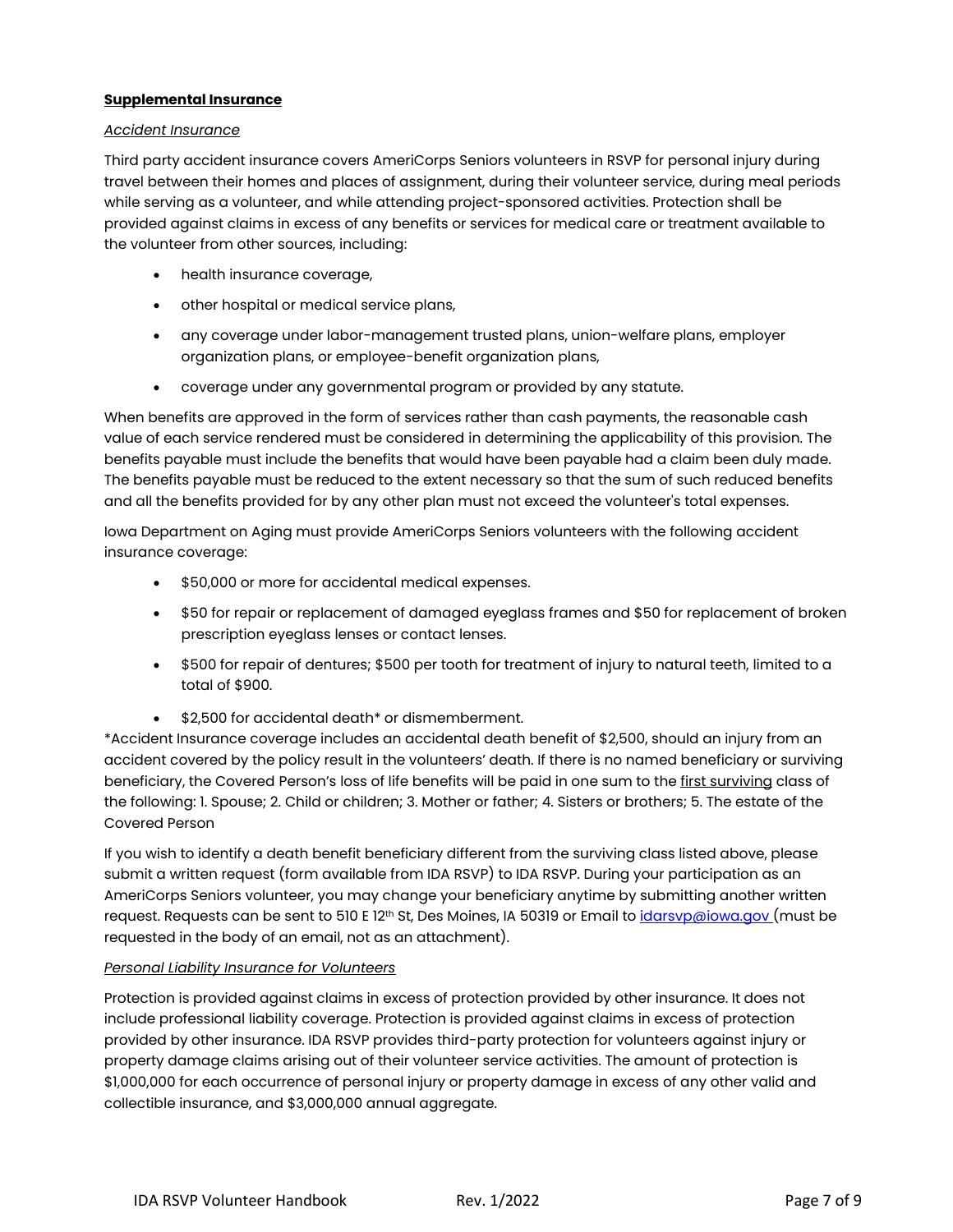## **Supplemental Insurance**

#### *Accident Insurance*

Third party accident insurance covers AmeriCorps Seniors volunteers in RSVP for personal injury during travel between their homes and places of assignment, during their volunteer service, during meal periods while serving as a volunteer, and while attending project-sponsored activities. Protection shall be provided against claims in excess of any benefits or services for medical care or treatment available to the volunteer from other sources, including:

- health insurance coverage,
- other hospital or medical service plans,
- any coverage under labor-management trusted plans, union-welfare plans, employer organization plans, or employee-benefit organization plans,
- coverage under any governmental program or provided by any statute.

When benefits are approved in the form of services rather than cash payments, the reasonable cash value of each service rendered must be considered in determining the applicability of this provision. The benefits payable must include the benefits that would have been payable had a claim been duly made. The benefits payable must be reduced to the extent necessary so that the sum of such reduced benefits and all the benefits provided for by any other plan must not exceed the volunteer's total expenses.

Iowa Department on Aging must provide AmeriCorps Seniors volunteers with the following accident insurance coverage:

- \$50,000 or more for accidental medical expenses.
- \$50 for repair or replacement of damaged eyeglass frames and \$50 for replacement of broken prescription eyeglass lenses or contact lenses.
- \$500 for repair of dentures; \$500 per tooth for treatment of injury to natural teeth, limited to a total of \$900.
- \$2,500 for accidental death\* or dismemberment.

\*Accident Insurance coverage includes an accidental death benefit of \$2,500, should an injury from an accident covered by the policy result in the volunteers' death. If there is no named beneficiary or surviving beneficiary, the Covered Person's loss of life benefits will be paid in one sum to the first surviving class of the following: 1. Spouse; 2. Child or children; 3. Mother or father; 4. Sisters or brothers; 5. The estate of the Covered Person

If you wish to identify a death benefit beneficiary different from the surviving class listed above, please submit a written request (form available from IDA RSVP) to IDA RSVP. During your participation as an AmeriCorps Seniors volunteer, you may change your beneficiary anytime by submitting another written request. Requests can be sent to 510 E 12<sup>th</sup> St, Des Moines, IA 50319 or Email to *idarsvp@iowa.gov* (must be requested in the body of an email, not as an attachment).

#### *Personal Liability Insurance for Volunteers*

Protection is provided against claims in excess of protection provided by other insurance. It does not include professional liability coverage. Protection is provided against claims in excess of protection provided by other insurance. IDA RSVP provides third-party protection for volunteers against injury or property damage claims arising out of their volunteer service activities. The amount of protection is \$1,000,000 for each occurrence of personal injury or property damage in excess of any other valid and collectible insurance, and \$3,000,000 annual aggregate.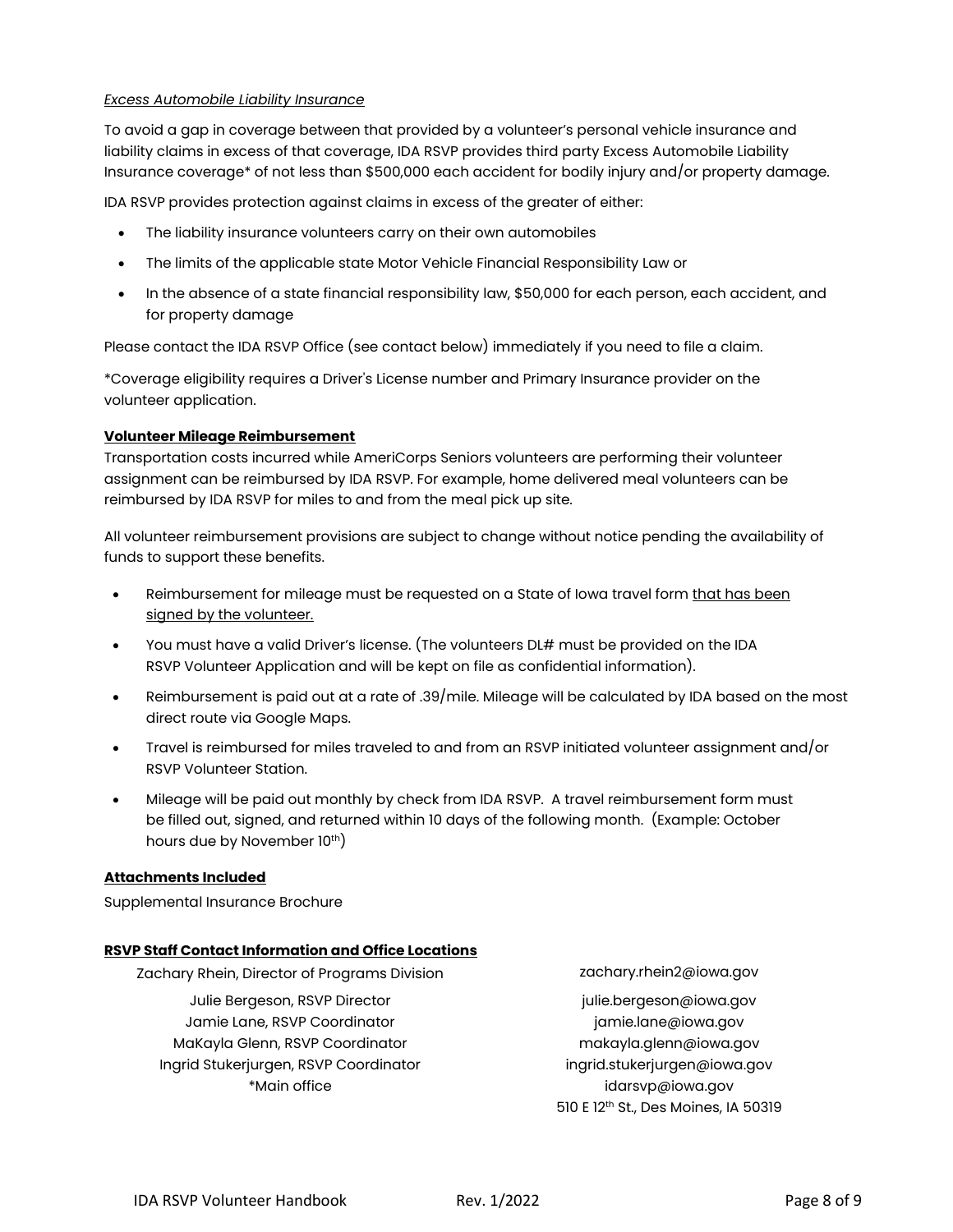#### *Excess Automobile Liability Insurance*

To avoid a gap in coverage between that provided by a volunteer's personal vehicle insurance and liability claims in excess of that coverage, IDA RSVP provides third party Excess Automobile Liability Insurance coverage\* of not less than \$500,000 each accident for bodily injury and/or property damage.

IDA RSVP provides protection against claims in excess of the greater of either:

- The liability insurance volunteers carry on their own automobiles
- The limits of the applicable state Motor Vehicle Financial Responsibility Law or
- In the absence of a state financial responsibility law, \$50,000 for each person, each accident, and for property damage

Please contact the IDA RSVP Office (see contact below) immediately if you need to file a claim.

\*Coverage eligibility requires a Driver's License number and Primary Insurance provider on the volunteer application.

#### **Volunteer Mileage Reimbursement**

Transportation costs incurred while AmeriCorps Seniors volunteers are performing their volunteer assignment can be reimbursed by IDA RSVP. For example, home delivered meal volunteers can be reimbursed by IDA RSVP for miles to and from the meal pick up site.

All volunteer reimbursement provisions are subject to change without notice pending the availability of funds to support these benefits.

- Reimbursement for mileage must be requested on a State of Iowa travel form that has been signed by the volunteer.
- You must have a valid Driver's license. (The volunteers DL# must be provided on the IDA RSVP Volunteer Application and will be kept on file as confidential information).
- Reimbursement is paid out at a rate of .39/mile. Mileage will be calculated by IDA based on the most direct route via Google Maps.
- Travel is reimbursed for miles traveled to and from an RSVP initiated volunteer assignment and/or RSVP Volunteer Station.
- Mileage will be paid out monthly by check from IDA RSVP. A travel reimbursement form must be filled out, signed, and returned within 10 days of the following month. (Example: October hours due by November 10<sup>th</sup>)

#### **Attachments Included**

Supplemental Insurance Brochure

#### **RSVP Staff Contact Information and Office Locations**

Zachary Rhein, Director of Programs Division *zachary.rhein2@iowa.gov* Julie Bergeson, RSVP Director julie.bergeson@iowa.gov Jamie Lane, RSVP Coordinator in the state of a state in a jamie.lane@iowa.gov MaKayla Glenn, RSVP Coordinator makayla.glenn@iowa.gov Ingrid Stukerjurgen, RSVP Coordinator ingrid.stukerjurgen@iowa.gov \*Main office idarsvp@iowa.gov

510 E 12th St., Des Moines, IA 50319